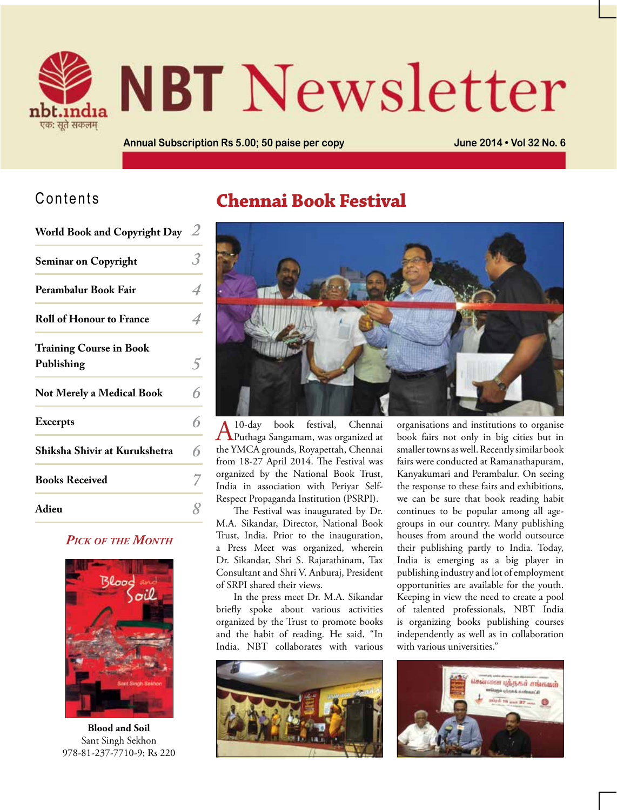

# **NBT** Newsletter

**Annual Subscription Rs 5.00; 50 paise per copy June 2014 • Vol 32 No. 6**

# Contents

| World Book and Copyright Day $2$ |   |
|----------------------------------|---|
| <b>Seminar on Copyright</b>      | З |

| Perambalur Book Fair                         |   |
|----------------------------------------------|---|
| <b>Roll of Honour to France</b>              | 4 |
| <b>Training Course in Book</b><br>Publishing |   |
| <b>Not Merely a Medical Book</b>             |   |
| <b>Excerpts</b>                              |   |
| Shiksha Shivir at Kurukshetra                | 6 |
| <b>Books Received</b>                        |   |
| Adieu                                        |   |
|                                              |   |

#### *Pick of the Month*



**Blood and Soil** Sant Singh Sekhon 978-81-237-7710-9; Rs 220

# **Chennai Book Festival**



A 10-day book festival, Chennai Puthaga Sangamam, was organized at the YMCA grounds, Royapettah, Chennai from 18-27 April 2014. The Festival was organized by the National Book Trust, India in association with Periyar Self-Respect Propaganda Institution (PSRPI).

The Festival was inaugurated by Dr. M.A. Sikandar, Director, National Book Trust, India. Prior to the inauguration, a Press Meet was organized, wherein Dr. Sikandar, Shri S. Rajarathinam, Tax Consultant and Shri V. Anburaj, President of SRPI shared their views.

In the press meet Dr. M.A. Sikandar briefly spoke about various activities organized by the Trust to promote books and the habit of reading. He said, "In India, NBT collaborates with various



organisations and institutions to organise book fairs not only in big cities but in smaller towns as well. Recently similar book fairs were conducted at Ramanathapuram, Kanyakumari and Perambalur. On seeing the response to these fairs and exhibitions, we can be sure that book reading habit continues to be popular among all agegroups in our country. Many publishing houses from around the world outsource their publishing partly to India. Today, India is emerging as a big player in publishing industry and lot of employment opportunities are available for the youth. Keeping in view the need to create a pool of talented professionals, NBT India is organizing books publishing courses independently as well as in collaboration with various universities."

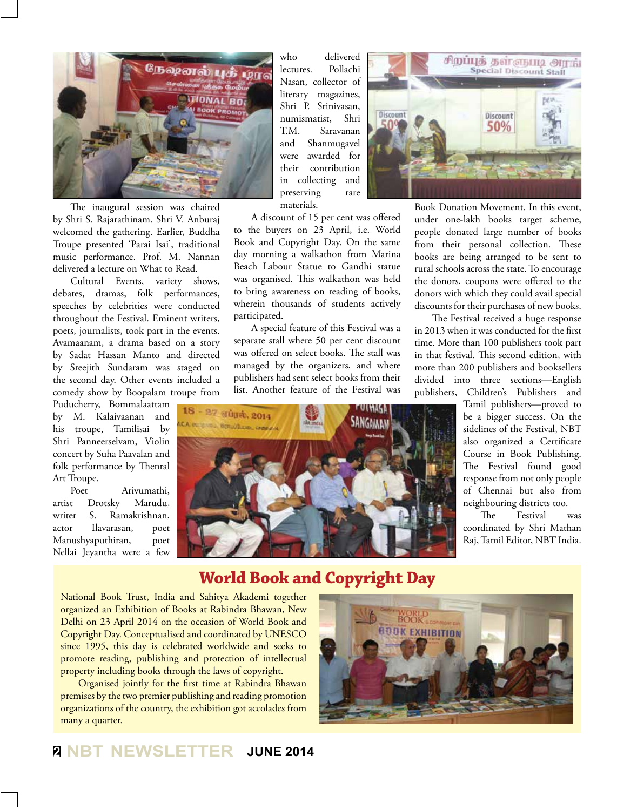

The inaugural session was chaired by Shri S. Rajarathinam. Shri V. Anburaj welcomed the gathering. Earlier, Buddha Troupe presented 'Parai Isai', traditional music performance. Prof. M. Nannan delivered a lecture on What to Read.

Cultural Events, variety shows, debates, dramas, folk performances, speeches by celebrities were conducted throughout the Festival. Eminent writers, poets, journalists, took part in the events. Avamaanam, a drama based on a story by Sadat Hassan Manto and directed by Sreejith Sundaram was staged on the second day. Other events included a comedy show by Boopalam troupe from

Puducherry, Bommalaattam by M. Kalaivaanan and his troupe, Tamilisai by Shri Panneerselvam, Violin concert by Suha Paavalan and folk performance by Thenral Art Troupe.

Poet Arivumathi, artist Drotsky Marudu, writer S. Ramakrishnan, actor Ilavarasan, poet Manushyaputhiran, poet Nellai Jeyantha were a few who delivered lectures. Pollachi Nasan, collector of literary magazines, Shri P. Srinivasan, numismatist, Shri T.M. Saravanan and Shanmugavel were awarded for their contribution in collecting and preserving rare materials.

A discount of 15 per cent was offered to the buyers on 23 April, i.e. World Book and Copyright Day. On the same day morning a walkathon from Marina Beach Labour Statue to Gandhi statue was organised. This walkathon was held to bring awareness on reading of books, wherein thousands of students actively participated.

A special feature of this Festival was a separate stall where 50 per cent discount was offered on select books. The stall was managed by the organizers, and where publishers had sent select books from their list. Another feature of the Festival was





Book Donation Movement. In this event, under one-lakh books target scheme, people donated large number of books from their personal collection. These books are being arranged to be sent to rural schools across the state. To encourage the donors, coupons were offered to the donors with which they could avail special discounts for their purchases of new books.

The Festival received a huge response in 2013 when it was conducted for the first time. More than 100 publishers took part in that festival. This second edition, with more than 200 publishers and booksellers divided into three sections—English publishers, Children's Publishers and

Tamil publishers—proved to be a bigger success. On the sidelines of the Festival, NBT also organized a Certificate Course in Book Publishing. The Festival found good response from not only people of Chennai but also from neighbouring districts too.

The Festival was coordinated by Shri Mathan Raj, Tamil Editor, NBT India.

# **World Book and Copyright Day**

National Book Trust, India and Sahitya Akademi together organized an Exhibition of Books at Rabindra Bhawan, New Delhi on 23 April 2014 on the occasion of World Book and Copyright Day. Conceptualised and coordinated by UNESCO since 1995, this day is celebrated worldwide and seeks to promote reading, publishing and protection of intellectual property including books through the laws of copyright.

Organised jointly for the first time at Rabindra Bhawan premises by the two premier publishing and reading promotion organizations of the country, the exhibition got accolades from many a quarter.

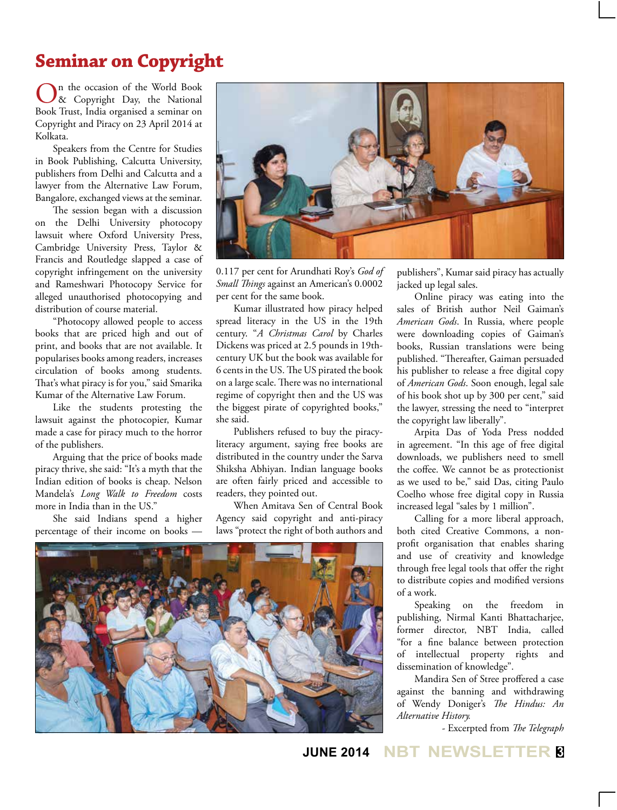# **Seminar on Copyright**

n the occasion of the World Book & Copyright Day, the National Book Trust, India organised a seminar on Copyright and Piracy on 23 April 2014 at Kolkata.

Speakers from the Centre for Studies in Book Publishing, Calcutta University, publishers from Delhi and Calcutta and a lawyer from the Alternative Law Forum, Bangalore, exchanged views at the seminar.

The session began with a discussion on the Delhi University photocopy lawsuit where Oxford University Press, Cambridge University Press, Taylor & Francis and Routledge slapped a case of copyright infringement on the university and Rameshwari Photocopy Service for alleged unauthorised photocopying and distribution of course material.

"Photocopy allowed people to access books that are priced high and out of print, and books that are not available. It popularises books among readers, increases circulation of books among students. That's what piracy is for you," said Smarika Kumar of the Alternative Law Forum.

Like the students protesting the lawsuit against the photocopier, Kumar made a case for piracy much to the horror of the publishers.

Arguing that the price of books made piracy thrive, she said: "It's a myth that the Indian edition of books is cheap. Nelson Mandela's *Long Walk to Freedom* costs more in India than in the US."

She said Indians spend a higher percentage of their income on books —



0.117 per cent for Arundhati Roy's *God of Small Things* against an American's 0.0002 per cent for the same book.

Kumar illustrated how piracy helped spread literacy in the US in the 19th century. "*A Christmas Carol* by Charles Dickens was priced at 2.5 pounds in 19thcentury UK but the book was available for 6 cents in the US. The US pirated the book on a large scale. There was no international regime of copyright then and the US was the biggest pirate of copyrighted books," she said.

Publishers refused to buy the piracyliteracy argument, saying free books are distributed in the country under the Sarva Shiksha Abhiyan. Indian language books are often fairly priced and accessible to readers, they pointed out.

When Amitava Sen of Central Book Agency said copyright and anti-piracy laws "protect the right of both authors and



publishers", Kumar said piracy has actually jacked up legal sales.

Online piracy was eating into the sales of British author Neil Gaiman's *American Gods*. In Russia, where people were downloading copies of Gaiman's books, Russian translations were being published. "Thereafter, Gaiman persuaded his publisher to release a free digital copy of *American Gods*. Soon enough, legal sale of his book shot up by 300 per cent," said the lawyer, stressing the need to "interpret the copyright law liberally".

Arpita Das of Yoda Press nodded in agreement. "In this age of free digital downloads, we publishers need to smell the coffee. We cannot be as protectionist as we used to be," said Das, citing Paulo Coelho whose free digital copy in Russia increased legal "sales by 1 million".

Calling for a more liberal approach, both cited Creative Commons, a nonprofit organisation that enables sharing and use of creativity and knowledge through free legal tools that offer the right to distribute copies and modified versions of a work.

Speaking on the freedom in publishing, Nirmal Kanti Bhattacharjee, former director, NBT India, called "for a fine balance between protection of intellectual property rights and dissemination of knowledge".

Mandira Sen of Stree proffered a case against the banning and withdrawing of Wendy Doniger's *The Hindus: An Alternative History.*

- Excerpted from *The Telegraph*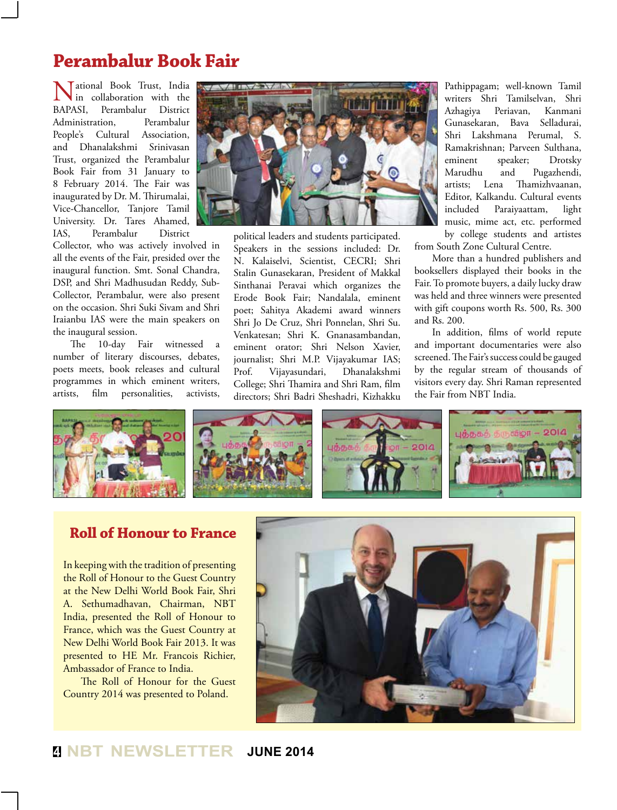# **Perambalur Book Fair**

Mational Book Trust, India<br>
in collaboration with the<br>
BAPASI. Perambalur District in collaboration with the Perambalur Administration, Perambalur People's Cultural Association, and Dhanalakshmi Srinivasan Trust, organized the Perambalur Book Fair from 31 January to 8 February 2014. The Fair was inaugurated by Dr. M. Thirumalai, Vice-Chancellor, Tanjore Tamil University. Dr. Tares Ahamed, IAS, Perambalur District

Collector, who was actively involved in all the events of the Fair, presided over the inaugural function. Smt. Sonal Chandra, DSP, and Shri Madhusudan Reddy, Sub-Collector, Perambalur, were also present on the occasion. Shri Suki Sivam and Shri Iraianbu IAS were the main speakers on the inaugural session.

The 10-day Fair witnessed a number of literary discourses, debates, poets meets, book releases and cultural programmes in which eminent writers, artists, film personalities, activists,



political leaders and students participated. Speakers in the sessions included: Dr. N. Kalaiselvi, Scientist, CECRI; Shri Stalin Gunasekaran, President of Makkal Sinthanai Peravai which organizes the Erode Book Fair; Nandalala, eminent poet; Sahitya Akademi award winners Shri Jo De Cruz, Shri Ponnelan, Shri Su. Venkatesan; Shri K. Gnanasambandan, eminent orator; Shri Nelson Xavier, journalist; Shri M.P. Vijayakumar IAS; Prof. Vijayasundari, Dhanalakshmi College; Shri Thamira and Shri Ram, film directors; Shri Badri Sheshadri, Kizhakku

Pathippagam; well-known Tamil writers Shri Tamilselvan, Shri Azhagiya Periavan, Kanmani Gunasekaran, Bava Selladurai, Shri Lakshmana Perumal, S. Ramakrishnan; Parveen Sulthana, eminent speaker; Drotsky Marudhu and Pugazhendi,<br>artists: Lena Thamizhvaanan, Thamizhvaanan, Editor, Kalkandu. Cultural events included Paraiyaattam, light music, mime act, etc. performed by college students and artistes

from South Zone Cultural Centre.

More than a hundred publishers and booksellers displayed their books in the Fair. To promote buyers, a daily lucky draw was held and three winners were presented with gift coupons worth Rs. 500, Rs. 300 and Rs. 200.

In addition, films of world repute and important documentaries were also screened. The Fair's success could be gauged by the regular stream of thousands of visitors every day. Shri Raman represented the Fair from NBT India.



#### **Roll of Honour to France**

In keeping with the tradition of presenting the Roll of Honour to the Guest Country at the New Delhi World Book Fair, Shri A. Sethumadhavan, Chairman, NBT India, presented the Roll of Honour to France, which was the Guest Country at New Delhi World Book Fair 2013. It was presented to HE Mr. Francois Richier, Ambassador of France to India.

The Roll of Honour for the Guest Country 2014 was presented to Poland.



### **<sup>4</sup> NBT NEWSLETTER JUNE 2014**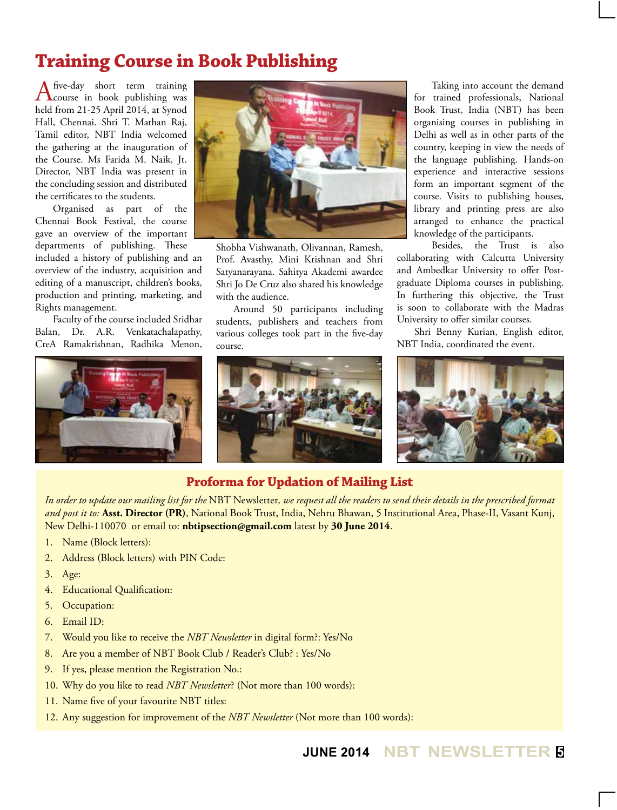# **Training Course in Book Publishing**

Afive-day short term training<br>course in book publishing was held from 21-25 April 2014, at Synod Hall, Chennai. Shri T. Mathan Raj, Tamil editor, NBT India welcomed the gathering at the inauguration of the Course. Ms Farida M. Naik, Jt. Director, NBT India was present in the concluding session and distributed the certificates to the students.

Organised as part of the Chennai Book Festival, the course gave an overview of the important departments of publishing. These included a history of publishing and an overview of the industry, acquisition and editing of a manuscript, children's books, production and printing, marketing, and Rights management.

Faculty of the course included Sridhar Balan, Dr. A.R. Venkatachalapathy, CreA Ramakrishnan, Radhika Menon,





Shobha Vishwanath, Olivannan, Ramesh, Prof. Avasthy, Mini Krishnan and Shri Satyanarayana. Sahitya Akademi awardee Shri Jo De Cruz also shared his knowledge with the audience.

Around 50 participants including students, publishers and teachers from various colleges took part in the five-day course.



Taking into account the demand for trained professionals, National Book Trust, India (NBT) has been organising courses in publishing in Delhi as well as in other parts of the country, keeping in view the needs of the language publishing. Hands-on experience and interactive sessions form an important segment of the course. Visits to publishing houses, library and printing press are also arranged to enhance the practical knowledge of the participants.

Besides, the Trust is also collaborating with Calcutta University and Ambedkar University to offer Postgraduate Diploma courses in publishing. In furthering this objective, the Trust is soon to collaborate with the Madras University to offer similar courses.

Shri Benny Kurian, English editor, NBT India, coordinated the event.



#### **Proforma for Updation of Mailing List**

*In order to update our mailing list for the* NBT Newsletter*, we request all the readers to send their details in the prescribed format and post it to:* **Asst. Director (PR)**, National Book Trust, India, Nehru Bhawan, 5 Institutional Area, Phase-II, Vasant Kunj, New Delhi-110070 or email to: **nbtipsection@gmail.com** latest by **30 June 2014**.

- 1. Name (Block letters):
- 2. Address (Block letters) with PIN Code:
- 3. Age:
- 4. Educational Qualification:
- 5. Occupation:
- 6. Email ID:
- 7. Would you like to receive the *NBT Newsletter* in digital form?: Yes/No
- 8. Are you a member of NBT Book Club / Reader's Club? : Yes/No
- 9. If yes, please mention the Registration No.:
- 10. Why do you like to read *NBT Newsletter*? (Not more than 100 words):
- 11. Name five of your favourite NBT titles:
- 12. Any suggestion for improvement of the *NBT Newsletter* (Not more than 100 words):

**JUNE 2014 NBT NEWSLETTER <sup>5</sup>**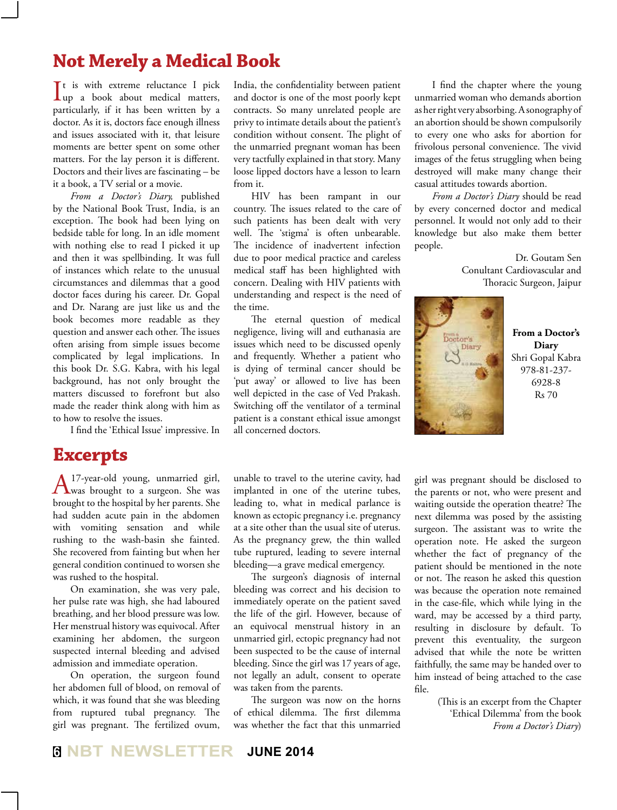# **Not Merely a Medical Book**

It is with extreme reluctance I pick<br>
up a book about medical matters, It is with extreme reluctance I pick particularly, if it has been written by a doctor. As it is, doctors face enough illness and issues associated with it, that leisure moments are better spent on some other matters. For the lay person it is different. Doctors and their lives are fascinating – be it a book, a TV serial or a movie.

*From a Doctor's Diary,* published by the National Book Trust, India, is an exception. The book had been lying on bedside table for long. In an idle moment with nothing else to read I picked it up and then it was spellbinding. It was full of instances which relate to the unusual circumstances and dilemmas that a good doctor faces during his career. Dr. Gopal and Dr. Narang are just like us and the book becomes more readable as they question and answer each other. The issues often arising from simple issues become complicated by legal implications. In this book Dr. S.G. Kabra, with his legal background, has not only brought the matters discussed to forefront but also made the reader think along with him as to how to resolve the issues.

I find the 'Ethical Issue' impressive. In

## **Excerpts**

A <sup>17</sup>-year-old young, unmarried girl,<br>was brought to a surgeon. She was brought to the hospital by her parents. She had sudden acute pain in the abdomen with vomiting sensation and while rushing to the wash-basin she fainted. She recovered from fainting but when her general condition continued to worsen she was rushed to the hospital.

On examination, she was very pale, her pulse rate was high, she had laboured breathing, and her blood pressure was low. Her menstrual history was equivocal. After examining her abdomen, the surgeon suspected internal bleeding and advised admission and immediate operation.

On operation, the surgeon found her abdomen full of blood, on removal of which, it was found that she was bleeding from ruptured tubal pregnancy. The girl was pregnant. The fertilized ovum,

India, the confidentiality between patient and doctor is one of the most poorly kept contracts. So many unrelated people are privy to intimate details about the patient's condition without consent. The plight of the unmarried pregnant woman has been very tactfully explained in that story. Many loose lipped doctors have a lesson to learn from it.

HIV has been rampant in our country. The issues related to the care of such patients has been dealt with very well. The 'stigma' is often unbearable. The incidence of inadvertent infection due to poor medical practice and careless medical staff has been highlighted with concern. Dealing with HIV patients with understanding and respect is the need of the time.

The eternal question of medical negligence, living will and euthanasia are issues which need to be discussed openly and frequently. Whether a patient who is dying of terminal cancer should be 'put away' or allowed to live has been well depicted in the case of Ved Prakash. Switching off the ventilator of a terminal patient is a constant ethical issue amongst all concerned doctors.

unable to travel to the uterine cavity, had implanted in one of the uterine tubes, leading to, what in medical parlance is known as ectopic pregnancy i.e. pregnancy at a site other than the usual site of uterus. As the pregnancy grew, the thin walled tube ruptured, leading to severe internal bleeding—a grave medical emergency.

The surgeon's diagnosis of internal bleeding was correct and his decision to immediately operate on the patient saved the life of the girl. However, because of an equivocal menstrual history in an unmarried girl, ectopic pregnancy had not been suspected to be the cause of internal bleeding. Since the girl was 17 years of age, not legally an adult, consent to operate was taken from the parents.

The surgeon was now on the horns of ethical dilemma. The first dilemma was whether the fact that this unmarried

I find the chapter where the young unmarried woman who demands abortion as her right very absorbing. A sonography of an abortion should be shown compulsorily to every one who asks for abortion for frivolous personal convenience. The vivid images of the fetus struggling when being destroyed will make many change their casual attitudes towards abortion.

*From a Doctor's Diary* should be read by every concerned doctor and medical personnel. It would not only add to their knowledge but also make them better people.

> Dr. Goutam Sen Conultant Cardiovascular and Thoracic Surgeon, Jaipur



**From a Doctor's Diary** Shri Gopal Kabra 978-81-237- 6928-8 Rs 70

girl was pregnant should be disclosed to the parents or not, who were present and waiting outside the operation theatre? The next dilemma was posed by the assisting surgeon. The assistant was to write the operation note. He asked the surgeon whether the fact of pregnancy of the patient should be mentioned in the note or not. The reason he asked this question was because the operation note remained in the case-file, which while lying in the ward, may be accessed by a third party, resulting in disclosure by default. To prevent this eventuality, the surgeon advised that while the note be written faithfully, the same may be handed over to him instead of being attached to the case file.

(This is an excerpt from the Chapter 'Ethical Dilemma' from the book *From a Doctor's Diary*)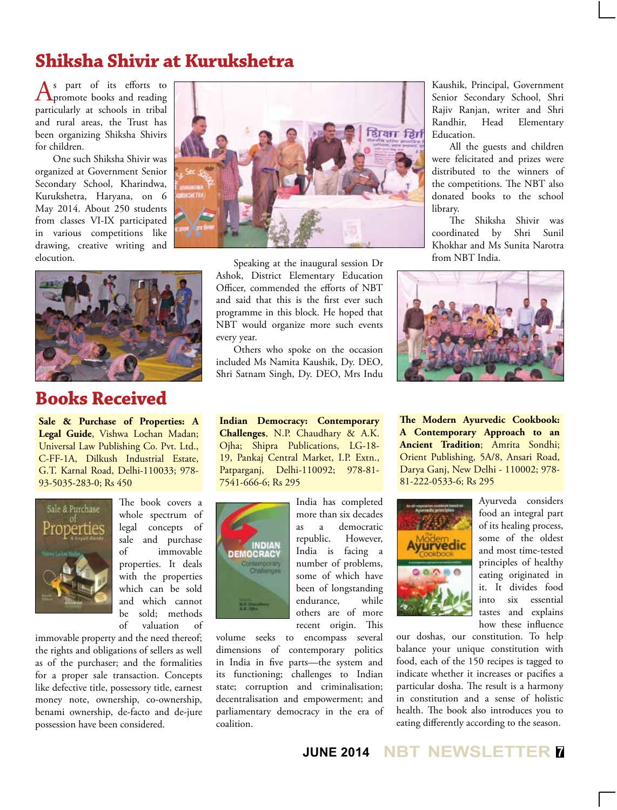# **Shiksha Shivir at Kurukshetra**

As part of its efforts to **T** promote books and reading particularly at schools in tribal and rural areas, the Trust has been organizing Shiksha Shivirs for children.

One such Shiksha Shivir was organized at Government Senior Secondary School, Kharindwa, Kurukshetra, Haryana, on 6 May 2014. About 250 students from classes VI-IX participated in various competitions like drawing, creative writing and elocution.



# **Books Received**

**Sale & Purchase of Properties: A Legal Guide**, Vishwa Lochan Madan; Universal Law Publishing Co. Pvt. Ltd., C-FF-1A, Dilkush Industrial Estate, G.T. Karnal Road, Delhi-110033; 978- 93-5035-283-0; Rs 450



The book covers a whole spectrum of legal concepts of sale and purchase of immovable properties. It deals with the properties which can be sold and which cannot be sold; methods of valuation of

immovable property and the need thereof; the rights and obligations of sellers as well as of the purchaser; and the formalities for a proper sale transaction. Concepts like defective title, possessory title, earnest money note, ownership, co-ownership, benami ownership, de-facto and de-jure possession have been considered.

Speaking at the inaugural session Dr Ashok, District Elementary Education Officer, commended the efforts of NBT and said that this is the first ever such programme in this block. He hoped that NBT would organize more such events every year.

Others who spoke on the occasion included Ms Namita Kaushik, Dy. DEO, Shri Satnam Singh, Dy. DEO, Mrs Indu

**Indian Democracy: Contemporary Challenges**, N.P. Chaudhary & A.K. Ojha; Shipra Publications, LG-18- 19, Pankaj Central Market, I.P. Extn., Patparganj, Delhi-110092; 978-81- 7541-666-6; Rs 295



India has completed more than six decades as a democratic republic. However, India is facing a number of problems, some of which have been of longstanding endurance, while others are of more recent origin. This

volume seeks to encompass several dimensions of contemporary politics in India in five parts—the system and its functioning; challenges to Indian state; corruption and criminalisation; decentralisation and empowerment; and parliamentary democracy in the era of coalition.

Kaushik, Principal, Government Senior Secondary School, Shri Rajiv Ranjan, writer and Shri Randhir, Head Elementary Education.

All the guests and children were felicitated and prizes were distributed to the winners of the competitions. The NBT also donated books to the school library.

The Shiksha Shivir was coordinated by Shri Sunil Khokhar and Ms Sunita Narotra from NBT India.



**The Modern Ayurvedic Cookbook: A Contemporary Approach to an Ancient Tradition**; Amrita Sondhi; Orient Publishing, 5A/8, Ansari Road, Darya Ganj, New Delhi - 110002; 978- 81-222-0533-6; Rs 295



Ayurveda considers food an integral part of its healing process, some of the oldest and most time-tested principles of healthy eating originated in it. It divides food into six essential tastes and explains how these influence

our doshas, our constitution. To help balance your unique constitution with food, each of the 150 recipes is tagged to indicate whether it increases or pacifies a particular dosha. The result is a harmony in constitution and a sense of holistic health. The book also introduces you to eating differently according to the season.